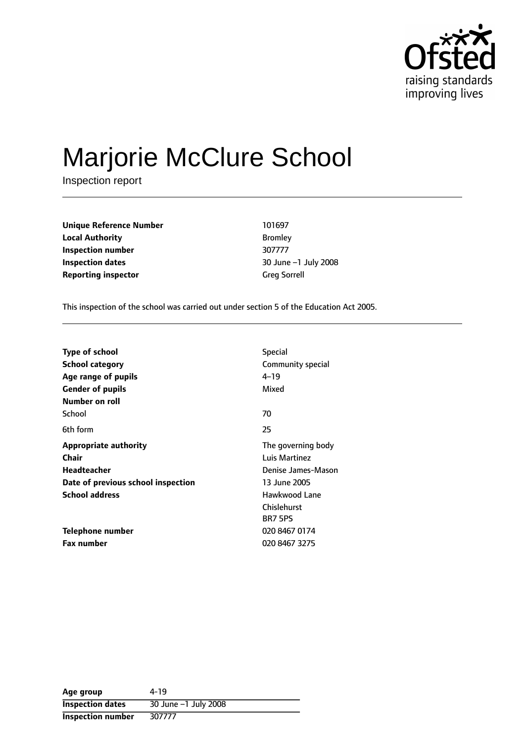

# Marjorie McClure School

Inspection report

**Unique Reference Number** 101697 **Local Authority** Bromley **Inspection number** 307777 **Inspection dates 1988 10 Second 2008 10 Second 2008 10 Second 2008 Reporting inspector** Greg Sorrell

This inspection of the school was carried out under section 5 of the Education Act 2005.

| <b>Type of school</b><br>School category<br>Age range of pupils<br><b>Gender of pupils</b> | <b>Special</b><br>Community special<br>4–19<br>Mixed |  |
|--------------------------------------------------------------------------------------------|------------------------------------------------------|--|
| Number on roll                                                                             |                                                      |  |
| School                                                                                     | 70                                                   |  |
| 6th form                                                                                   | 25                                                   |  |
| <b>Appropriate authority</b>                                                               | The governing body                                   |  |
| Chair                                                                                      | Luis Martinez                                        |  |
| <b>Headteacher</b>                                                                         | Denise James-Mason                                   |  |
| Date of previous school inspection                                                         | 13 June 2005                                         |  |
| <b>School address</b>                                                                      | Hawkwood Lane                                        |  |
|                                                                                            | Chislehurst                                          |  |
|                                                                                            | BR7 5PS                                              |  |
| Telephone number                                                                           | 020 8467 0174                                        |  |
| <b>Fax number</b>                                                                          | 020 8467 3275                                        |  |

| Age group               | 4-19                 |
|-------------------------|----------------------|
| <b>Inspection dates</b> | 30 June -1 July 2008 |
| Inspection number       | 307777               |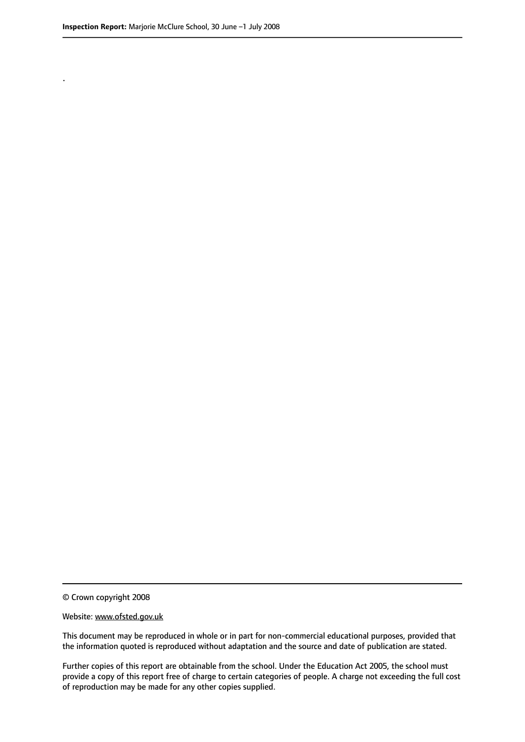.

© Crown copyright 2008

#### Website: www.ofsted.gov.uk

This document may be reproduced in whole or in part for non-commercial educational purposes, provided that the information quoted is reproduced without adaptation and the source and date of publication are stated.

Further copies of this report are obtainable from the school. Under the Education Act 2005, the school must provide a copy of this report free of charge to certain categories of people. A charge not exceeding the full cost of reproduction may be made for any other copies supplied.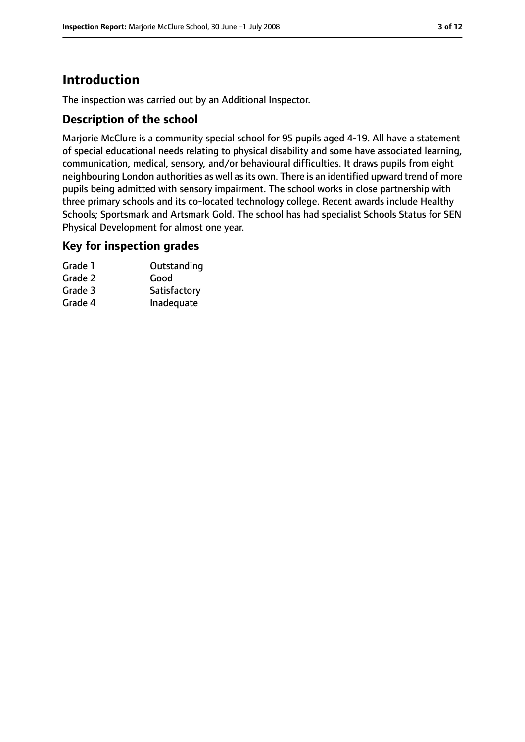# **Introduction**

The inspection was carried out by an Additional Inspector.

# **Description of the school**

Marjorie McClure is a community special school for 95 pupils aged 4-19. All have a statement of special educational needs relating to physical disability and some have associated learning, communication, medical, sensory, and/or behavioural difficulties. It draws pupils from eight neighbouring London authorities as well as its own. There is an identified upward trend of more pupils being admitted with sensory impairment. The school works in close partnership with three primary schools and its co-located technology college. Recent awards include Healthy Schools; Sportsmark and Artsmark Gold. The school has had specialist Schools Status for SEN Physical Development for almost one year.

# **Key for inspection grades**

| Grade 1 | Outstanding  |
|---------|--------------|
| Grade 2 | Good         |
| Grade 3 | Satisfactory |
| Grade 4 | Inadequate   |
|         |              |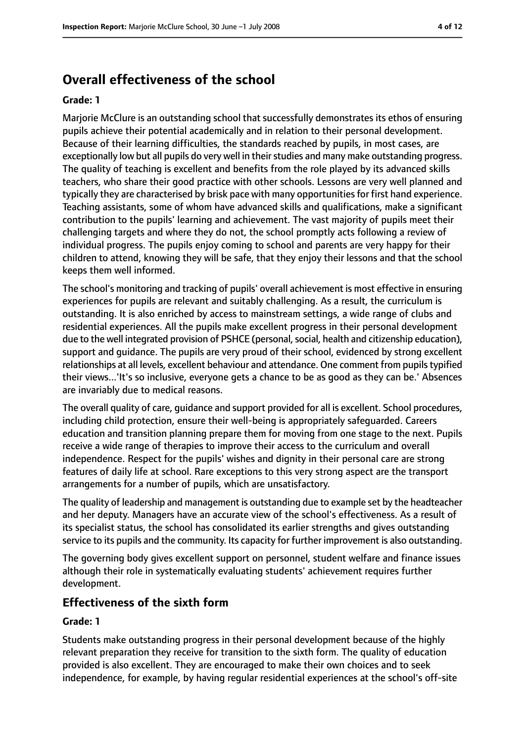# **Overall effectiveness of the school**

#### **Grade: 1**

Marjorie McClure is an outstanding school that successfully demonstrates its ethos of ensuring pupils achieve their potential academically and in relation to their personal development. Because of their learning difficulties, the standards reached by pupils, in most cases, are exceptionally low but all pupils do very well in their studies and many make outstanding progress. The quality of teaching is excellent and benefits from the role played by its advanced skills teachers, who share their good practice with other schools. Lessons are very well planned and typically they are characterised by brisk pace with many opportunitiesfor first hand experience. Teaching assistants, some of whom have advanced skills and qualifications, make a significant contribution to the pupils' learning and achievement. The vast majority of pupils meet their challenging targets and where they do not, the school promptly acts following a review of individual progress. The pupils enjoy coming to school and parents are very happy for their children to attend, knowing they will be safe, that they enjoy their lessons and that the school keeps them well informed.

The school's monitoring and tracking of pupils' overall achievement is most effective in ensuring experiences for pupils are relevant and suitably challenging. As a result, the curriculum is outstanding. It is also enriched by access to mainstream settings, a wide range of clubs and residential experiences. All the pupils make excellent progress in their personal development due to the well integrated provision of PSHCE (personal, social, health and citizenship education), support and guidance. The pupils are very proud of their school, evidenced by strong excellent relationships at all levels, excellent behaviour and attendance. One comment from pupils typified their views...'It's so inclusive, everyone gets a chance to be as good as they can be.' Absences are invariably due to medical reasons.

The overall quality of care, guidance and support provided for all is excellent. School procedures, including child protection, ensure their well-being is appropriately safeguarded. Careers education and transition planning prepare them for moving from one stage to the next. Pupils receive a wide range of therapies to improve their access to the curriculum and overall independence. Respect for the pupils' wishes and dignity in their personal care are strong features of daily life at school. Rare exceptions to this very strong aspect are the transport arrangements for a number of pupils, which are unsatisfactory.

The quality of leadership and management is outstanding due to example set by the headteacher and her deputy. Managers have an accurate view of the school's effectiveness. As a result of its specialist status, the school has consolidated its earlier strengths and gives outstanding service to its pupils and the community. Its capacity for further improvement is also outstanding.

The governing body gives excellent support on personnel, student welfare and finance issues although their role in systematically evaluating students' achievement requires further development.

# **Effectiveness of the sixth form**

#### **Grade: 1**

Students make outstanding progress in their personal development because of the highly relevant preparation they receive for transition to the sixth form. The quality of education provided is also excellent. They are encouraged to make their own choices and to seek independence, for example, by having regular residential experiences at the school's off-site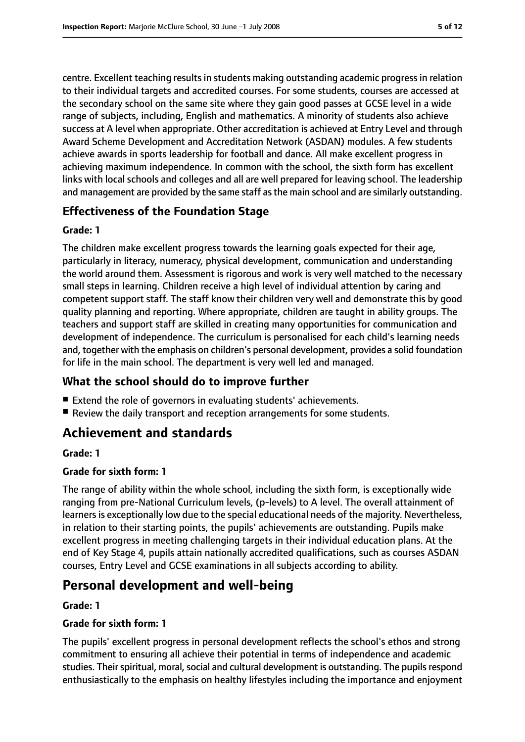centre. Excellent teaching resultsin students making outstanding academic progressin relation to their individual targets and accredited courses. For some students, courses are accessed at the secondary school on the same site where they gain good passes at GCSE level in a wide range of subjects, including, English and mathematics. A minority of students also achieve success at A level when appropriate. Other accreditation is achieved at Entry Level and through Award Scheme Development and Accreditation Network (ASDAN) modules. A few students achieve awards in sports leadership for football and dance. All make excellent progress in achieving maximum independence. In common with the school, the sixth form has excellent links with local schools and colleges and all are well prepared for leaving school. The leadership and management are provided by the same staff asthe main school and are similarly outstanding.

# **Effectiveness of the Foundation Stage**

# **Grade: 1**

The children make excellent progress towards the learning goals expected for their age, particularly in literacy, numeracy, physical development, communication and understanding the world around them. Assessment is rigorous and work is very well matched to the necessary small steps in learning. Children receive a high level of individual attention by caring and competent support staff. The staff know their children very well and demonstrate this by good quality planning and reporting. Where appropriate, children are taught in ability groups. The teachers and support staff are skilled in creating many opportunities for communication and development of independence. The curriculum is personalised for each child's learning needs and, together with the emphasis on children's personal development, provides a solid foundation for life in the main school. The department is very well led and managed.

# **What the school should do to improve further**

- Extend the role of governors in evaluating students' achievements.
- Review the daily transport and reception arrangements for some students.

# **Achievement and standards**

# **Grade: 1**

# **Grade for sixth form: 1**

The range of ability within the whole school, including the sixth form, is exceptionally wide ranging from pre-National Curriculum levels, (p-levels) to A level. The overall attainment of learners is exceptionally low due to the special educational needs of the majority. Nevertheless, in relation to their starting points, the pupils' achievements are outstanding. Pupils make excellent progress in meeting challenging targets in their individual education plans. At the end of Key Stage 4, pupils attain nationally accredited qualifications, such as courses ASDAN courses, Entry Level and GCSE examinations in all subjects according to ability.

# **Personal development and well-being**

# **Grade: 1**

# **Grade for sixth form: 1**

The pupils' excellent progress in personal development reflects the school's ethos and strong commitment to ensuring all achieve their potential in terms of independence and academic studies. Their spiritual, moral, social and cultural development is outstanding. The pupils respond enthusiastically to the emphasis on healthy lifestyles including the importance and enjoyment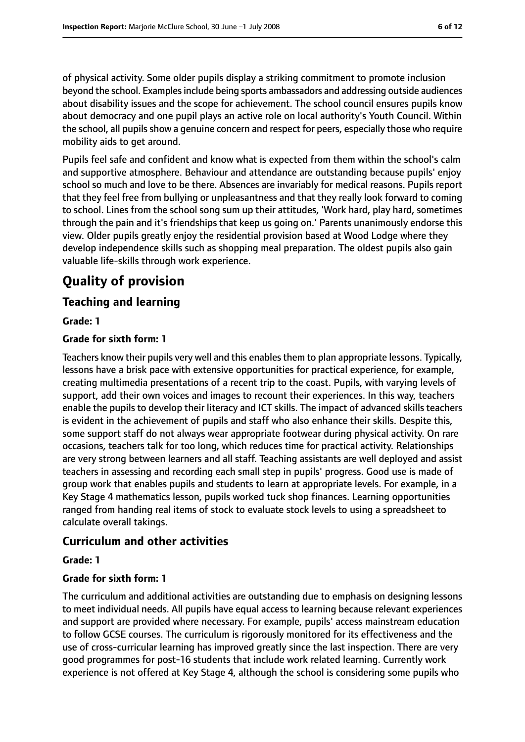of physical activity. Some older pupils display a striking commitment to promote inclusion beyond the school. Examples include being sports ambassadors and addressing outside audiences about disability issues and the scope for achievement. The school council ensures pupils know about democracy and one pupil plays an active role on local authority's Youth Council. Within the school, all pupilsshow a genuine concern and respect for peers, especially those who require mobility aids to get around.

Pupils feel safe and confident and know what is expected from them within the school's calm and supportive atmosphere. Behaviour and attendance are outstanding because pupils' enjoy school so much and love to be there. Absences are invariably for medical reasons. Pupils report that they feel free from bullying or unpleasantness and that they really look forward to coming to school. Lines from the school song sum up their attitudes, 'Work hard, play hard, sometimes through the pain and it's friendships that keep us going on.' Parents unanimously endorse this view. Older pupils greatly enjoy the residential provision based at Wood Lodge where they develop independence skills such as shopping meal preparation. The oldest pupils also gain valuable life-skills through work experience.

# **Quality of provision**

# **Teaching and learning**

# **Grade: 1**

# **Grade for sixth form: 1**

Teachers know their pupils very well and this enablesthem to plan appropriate lessons. Typically, lessons have a brisk pace with extensive opportunities for practical experience, for example, creating multimedia presentations of a recent trip to the coast. Pupils, with varying levels of support, add their own voices and images to recount their experiences. In this way, teachers enable the pupils to develop their literacy and ICT skills. The impact of advanced skills teachers is evident in the achievement of pupils and staff who also enhance their skills. Despite this, some support staff do not always wear appropriate footwear during physical activity. On rare occasions, teachers talk for too long, which reduces time for practical activity. Relationships are very strong between learners and all staff. Teaching assistants are well deployed and assist teachers in assessing and recording each small step in pupils' progress. Good use is made of group work that enables pupils and students to learn at appropriate levels. For example, in a Key Stage 4 mathematics lesson, pupils worked tuck shop finances. Learning opportunities ranged from handing real items of stock to evaluate stock levels to using a spreadsheet to calculate overall takings.

# **Curriculum and other activities**

#### **Grade: 1**

# **Grade for sixth form: 1**

The curriculum and additional activities are outstanding due to emphasis on designing lessons to meet individual needs. All pupils have equal access to learning because relevant experiences and support are provided where necessary. For example, pupils' access mainstream education to follow GCSE courses. The curriculum is rigorously monitored for its effectiveness and the use of cross-curricular learning has improved greatly since the last inspection. There are very good programmes for post-16 students that include work related learning. Currently work experience is not offered at Key Stage 4, although the school is considering some pupils who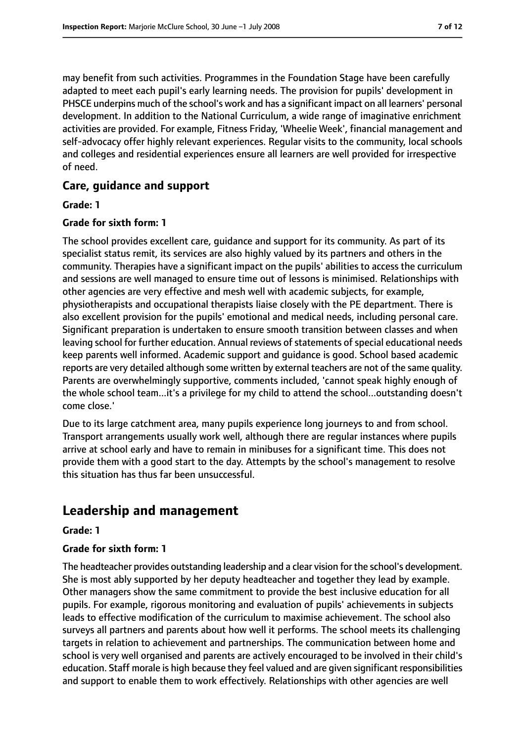may benefit from such activities. Programmes in the Foundation Stage have been carefully adapted to meet each pupil's early learning needs. The provision for pupils' development in PHSCE underpins much of the school's work and has a significant impact on all learners' personal development. In addition to the National Curriculum, a wide range of imaginative enrichment activities are provided. For example, Fitness Friday, 'Wheelie Week', financial management and self-advocacy offer highly relevant experiences. Regular visits to the community, local schools and colleges and residential experiences ensure all learners are well provided for irrespective of need.

# **Care, guidance and support**

#### **Grade: 1**

### **Grade for sixth form: 1**

The school provides excellent care, guidance and support for its community. As part of its specialist status remit, its services are also highly valued by its partners and others in the community. Therapies have a significant impact on the pupils' abilities to access the curriculum and sessions are well managed to ensure time out of lessons is minimised. Relationships with other agencies are very effective and mesh well with academic subjects, for example, physiotherapists and occupational therapists liaise closely with the PE department. There is also excellent provision for the pupils' emotional and medical needs, including personal care. Significant preparation is undertaken to ensure smooth transition between classes and when leaving school for further education. Annual reviews of statements of special educational needs keep parents well informed. Academic support and guidance is good. School based academic reports are very detailed although some written by external teachers are not of the same quality. Parents are overwhelmingly supportive, comments included, 'cannot speak highly enough of the whole school team...it's a privilege for my child to attend the school...outstanding doesn't come close.'

Due to its large catchment area, many pupils experience long journeys to and from school. Transport arrangements usually work well, although there are regular instances where pupils arrive at school early and have to remain in minibuses for a significant time. This does not provide them with a good start to the day. Attempts by the school's management to resolve this situation has thus far been unsuccessful.

# **Leadership and management**

#### **Grade: 1**

#### **Grade for sixth form: 1**

The headteacher provides outstanding leadership and a clear vision for the school's development. She is most ably supported by her deputy headteacher and together they lead by example. Other managers show the same commitment to provide the best inclusive education for all pupils. For example, rigorous monitoring and evaluation of pupils' achievements in subjects leads to effective modification of the curriculum to maximise achievement. The school also surveys all partners and parents about how well it performs. The school meets its challenging targets in relation to achievement and partnerships. The communication between home and school is very well organised and parents are actively encouraged to be involved in their child's education. Staff morale is high because they feel valued and are given significant responsibilities and support to enable them to work effectively. Relationships with other agencies are well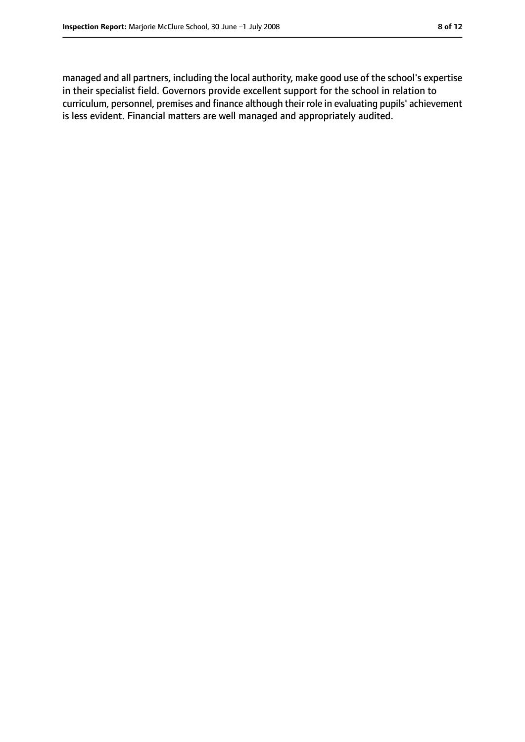managed and all partners, including the local authority, make good use of the school's expertise in their specialist field. Governors provide excellent support for the school in relation to curriculum, personnel, premises and finance although their role in evaluating pupils' achievement is less evident. Financial matters are well managed and appropriately audited.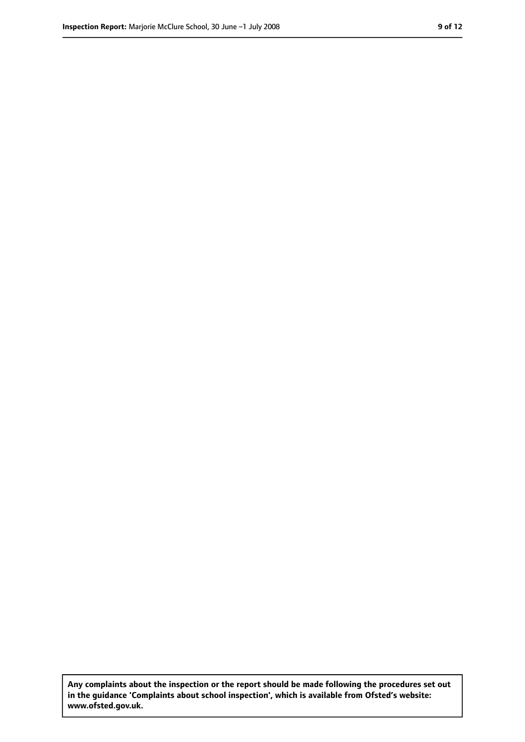**Any complaints about the inspection or the report should be made following the procedures set out in the guidance 'Complaints about school inspection', which is available from Ofsted's website: www.ofsted.gov.uk.**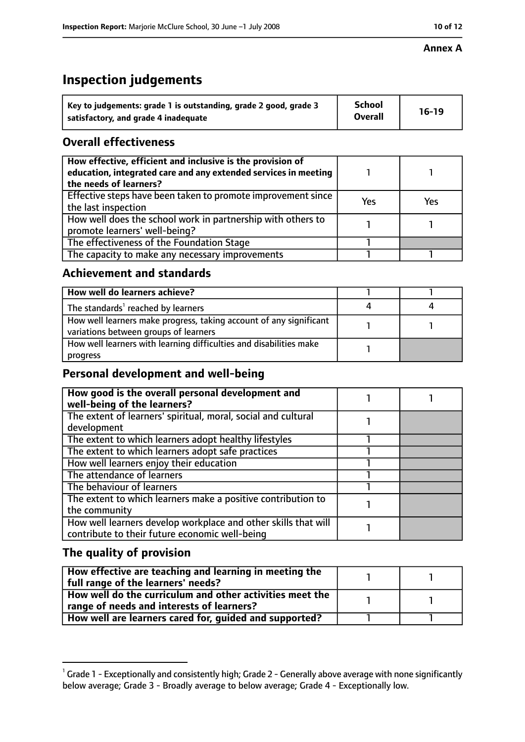#### **Annex A**

# **Inspection judgements**

| Key to judgements: grade 1 is outstanding, grade 2 good, grade 3 | <b>School</b>  | $16-19$ |
|------------------------------------------------------------------|----------------|---------|
| satisfactory, and grade 4 inadequate                             | <b>Overall</b> |         |

# **Overall effectiveness**

| How effective, efficient and inclusive is the provision of<br>education, integrated care and any extended services in meeting<br>the needs of learners? |     |     |
|---------------------------------------------------------------------------------------------------------------------------------------------------------|-----|-----|
| Effective steps have been taken to promote improvement since  <br>the last inspection                                                                   | Yes | Yes |
| How well does the school work in partnership with others to<br>promote learners' well-being?                                                            |     |     |
| The effectiveness of the Foundation Stage                                                                                                               |     |     |
| The capacity to make any necessary improvements                                                                                                         |     |     |

# **Achievement and standards**

| How well do learners achieve?                                                                               |  |
|-------------------------------------------------------------------------------------------------------------|--|
| The standards <sup>1</sup> reached by learners                                                              |  |
| How well learners make progress, taking account of any significant<br>variations between groups of learners |  |
| How well learners with learning difficulties and disabilities make<br>progress                              |  |

# **Personal development and well-being**

| How good is the overall personal development and<br>well-being of the learners?                                  |  |
|------------------------------------------------------------------------------------------------------------------|--|
| The extent of learners' spiritual, moral, social and cultural<br>development                                     |  |
| The extent to which learners adopt healthy lifestyles                                                            |  |
| The extent to which learners adopt safe practices                                                                |  |
| How well learners enjoy their education                                                                          |  |
| The attendance of learners                                                                                       |  |
| The behaviour of learners                                                                                        |  |
| The extent to which learners make a positive contribution to<br>the community                                    |  |
| How well learners develop workplace and other skills that will<br>contribute to their future economic well-being |  |

# **The quality of provision**

| How effective are teaching and learning in meeting the<br>full range of the learners' needs?          |  |
|-------------------------------------------------------------------------------------------------------|--|
| How well do the curriculum and other activities meet the<br>range of needs and interests of learners? |  |
|                                                                                                       |  |
| How well are learners cared for, guided and supported?                                                |  |

 $^1$  Grade 1 - Exceptionally and consistently high; Grade 2 - Generally above average with none significantly below average; Grade 3 - Broadly average to below average; Grade 4 - Exceptionally low.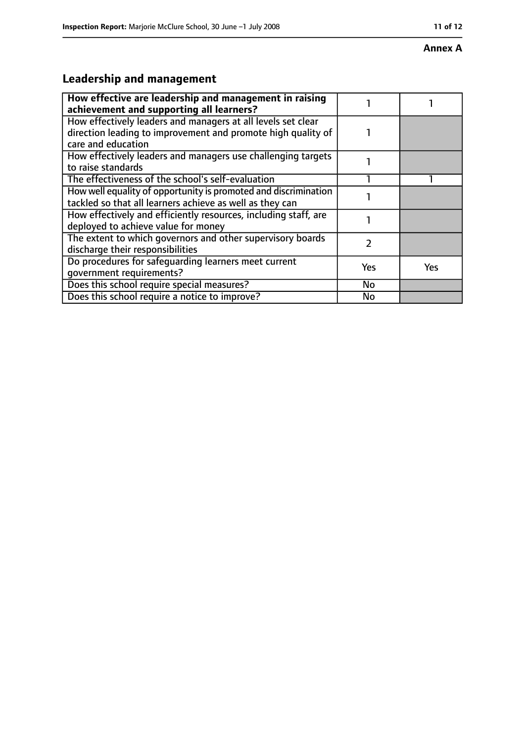#### **Annex A**

# **Leadership and management**

| How effective are leadership and management in raising<br>achievement and supporting all learners?                                                 |     |     |
|----------------------------------------------------------------------------------------------------------------------------------------------------|-----|-----|
| How effectively leaders and managers at all levels set clear<br>direction leading to improvement and promote high quality of<br>care and education |     |     |
| How effectively leaders and managers use challenging targets<br>to raise standards                                                                 |     |     |
| The effectiveness of the school's self-evaluation                                                                                                  |     |     |
| How well equality of opportunity is promoted and discrimination<br>tackled so that all learners achieve as well as they can                        |     |     |
| How effectively and efficiently resources, including staff, are<br>deployed to achieve value for money                                             |     |     |
| The extent to which governors and other supervisory boards<br>discharge their responsibilities                                                     | 7   |     |
| Do procedures for safequarding learners meet current<br>qovernment requirements?                                                                   | Yes | Yes |
| Does this school require special measures?                                                                                                         | No  |     |
| Does this school require a notice to improve?                                                                                                      | No  |     |